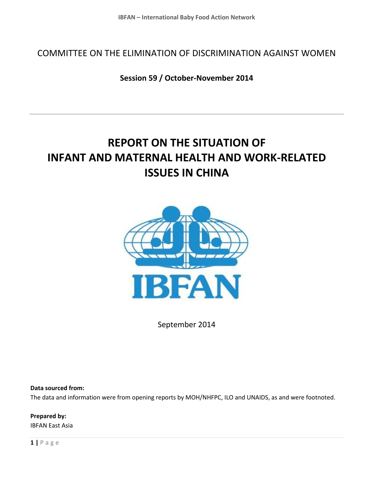COMMITTEE ON THE ELIMINATION OF DISCRIMINATION AGAINST WOMEN

**Session 59 / October-November 2014**

# **REPORT ON THE SITUATION OF INFANT AND MATERNAL HEALTH AND WORK-RELATED ISSUES IN CHINA**



September 2014

**Data sourced from:**

The data and information were from opening reports by MOH/NHFPC, ILO and UNAIDS, as and were footnoted.

**Prepared by:**  IBFAN East Asia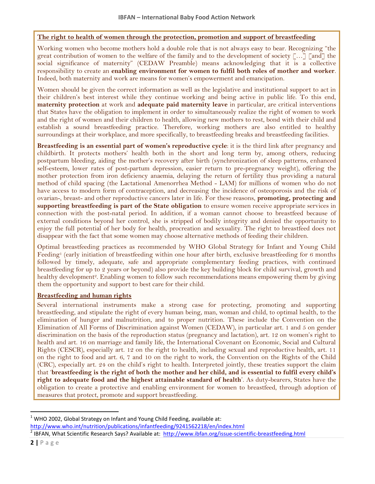#### **The right to health of women through the protection, promotion and support of breastfeeding**

Working women who become mothers hold a double role that is not always easy to bear. Recognizing "the great contribution of women to the welfare of the family and to the development of society […] [and] the social significance of maternity" (CEDAW Preamble) means acknowledging that it is a collective responsibility to create an **enabling environment for women to fulfil both roles of mother and worker**. Indeed, both maternity and work are means for women's empowerment and emancipation.

Women should be given the correct information as well as the legislative and institutional support to act in their children's best interest while they continue working and being active in public life. To this end, **maternity protection** at work and **adequate paid maternity leave** in particular, are critical interventions that States have the obligation to implement in order to simultaneously realize the right of women to work and the right of women and their children to health, allowing new mothers to rest, bond with their child and establish a sound breastfeeding practice. Therefore, working mothers are also entitled to healthy surroundings at their workplace, and more specifically, to breastfeeding breaks and breastfeeding facilities.

**Breastfeeding is an essential part of women's reproductive cycle**: it is the third link after pregnancy and childbirth. It protects mothers' health both in the short and long term by, among others, reducing postpartum bleeding, aiding the mother's recovery after birth (synchronization of sleep patterns, enhanced self-esteem, lower rates of post-partum depression, easier return to pre-pregnancy weight), offering the mother protection from iron deficiency anaemia, delaying the return of fertility thus providing a natural method of child spacing (the Lactational Amenorrhea Method - LAM) for millions of women who do not have access to modern form of contraception, and decreasing the incidence of osteoporosis and the risk of ovarian-, breast- and other reproductive cancers later in life. For these reasons, **promoting, protecting and supporting breastfeeding is part of the State obligation** to ensure women receive appropriate services in connection with the post-natal period. In addition, if a woman cannot choose to breastfeed because of external conditions beyond her control, she is stripped of bodily integrity and denied the opportunity to enjoy the full potential of her body for health, procreation and sexuality. The right to breastfeed does not disappear with the fact that some women may choose alternative methods of feeding their children.

Optimal breastfeeding practices as recommended by WHO Global Strategy for Infant and Young Child Feeding<sup>1</sup> (early initiation of breastfeeding within one hour after birth, exclusive breastfeeding for 6 months followed by timely, adequate, safe and appropriate complementary feeding practices, with continued breastfeeding for up to 2 years or beyond) also provide the key building block for child survival, growth and healthy development<sup>2</sup>. Enabling women to follow such recommendations means empowering them by giving them the opportunity and support to best care for their child.

#### **Breastfeeding and human rights**

Several international instruments make a strong case for protecting, promoting and supporting breastfeeding, and stipulate the right of every human being, man, woman and child, to optimal health, to the elimination of hunger and malnutrition, and to proper nutrition. These include the Convention on the Elimination of All Forms of Discrimination against Women (CEDAW), in particular art. 1 and 5 on gender discrimination on the basis of the reproduction status (pregnancy and lactation), art. 12 on women's right to health and art. 16 on marriage and family life, the International Covenant on Economic, Social and Cultural Rights (CESCR), especially art. 12 on the right to health, including sexual and reproductive health, art. 11 on the right to food and art. 6, 7 and 10 on the right to work, the Convention on the Rights of the Child (CRC), especially art. 24 on the child's right to health. Interpreted jointly, these treaties support the claim that '**breastfeeding is the right of both the mother and her child, and is essential to fulfil every child's right to adequate food and the highest attainable standard of health**'. As duty-bearers, States have the obligation to create a protective and enabling environment for women to breastfeed, through adoption of measures that protect, promote and support breastfeeding.

 $\overline{a}$  $1$  WHO 2002, Global Strategy on Infant and Young Child Feeding, available at: <http://www.who.int/nutrition/publications/infantfeeding/9241562218/en/index.html>

<sup>&</sup>lt;sup>2</sup> IBFAN, What Scientific Research Says? Available at: <http://www.ibfan.org/issue-scientific-breastfeeding.html>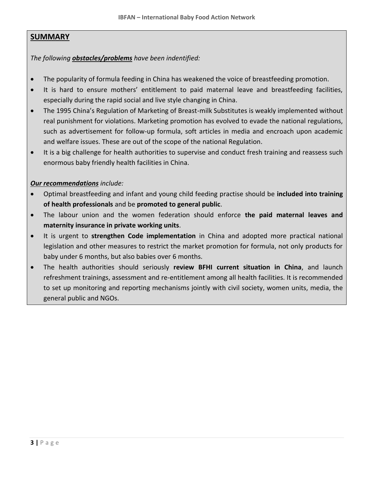### **SUMMARY**

### *The following obstacles/problems have been indentified:*

- The popularity of formula feeding in China has weakened the voice of breastfeeding promotion.
- It is hard to ensure mothers' entitlement to paid maternal leave and breastfeeding facilities, especially during the rapid social and live style changing in China.
- The 1995 China's Regulation of Marketing of Breast-milk Substitutes is weakly implemented without real punishment for violations. Marketing promotion has evolved to evade the national regulations, such as advertisement for follow-up formula, soft articles in media and encroach upon academic and welfare issues. These are out of the scope of the national Regulation.
- It is a big challenge for health authorities to supervise and conduct fresh training and reassess such enormous baby friendly health facilities in China.

### *Our recommendations include:*

- Optimal breastfeeding and infant and young child feeding practise should be **included into training of health professionals** and be **promoted to general public**.
- The labour union and the women federation should enforce **the paid maternal leaves and maternity insurance in private working units**.
- It is urgent to **strengthen Code implementation** in China and adopted more practical national legislation and other measures to restrict the market promotion for formula, not only products for baby under 6 months, but also babies over 6 months.
- The health authorities should seriously **review BFHI current situation in China**, and launch refreshment trainings, assessment and re-entitlement among all health facilities. It is recommended to set up monitoring and reporting mechanisms jointly with civil society, women units, media, the general public and NGOs.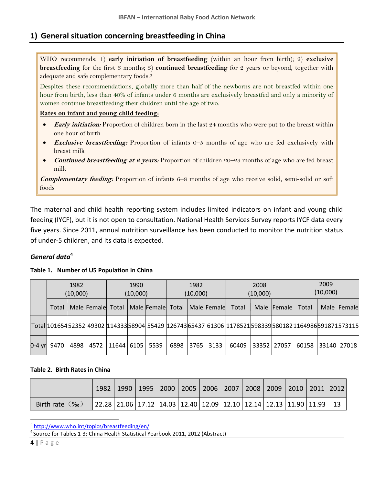### **1) General situation concerning breastfeeding in China**

WHO recommends: 1) **early initiation of breastfeeding** (within an hour from birth); 2) **exclusive breastfeeding** for the first 6 months; 3) **continued breastfeeding** for 2 years or beyond, together with adequate and safe complementary foods.<sup>3</sup>

Despites these recommendations, globally more than half of the newborns are not breastfed within one hour from birth, less than 40% of infants under 6 months are exclusively breastfed and only a minority of women continue breastfeeding their children until the age of two.

#### **Rates on infant and young child feeding:**

- **Early initiation:** Proportion of children born in the last 24 months who were put to the breast within one hour of birth
- **Exclusive breastfeeding:** Proportion of infants 0–5 months of age who are fed exclusively with breast milk
- **Continued breastfeeding at 2 years:** Proportion of children 20–23 months of age who are fed breast milk

**Complementary feeding:** Proportion of infants 6–8 months of age who receive solid, semi-solid or soft foods

The maternal and child health reporting system includes limited indicators on infant and young child feeding (IYCF), but it is not open to consultation. National Health Services Survey reports IYCF data every five years. Since 2011, annual nutrition surveillance has been conducted to monitor the nutrition status of under-5 children, and its data is expected.

### *General data***<sup>4</sup>**

#### **Table 1. Number of U5 Population in China**

|          | 1982<br>(10,000) |      |                   | 1990<br>(10,000)           |  |                               | 1982<br>(10,000) |  |      | 2008<br>(10,000)                                                                                            |             |             | 2009<br>(10,000) |  |               |
|----------|------------------|------|-------------------|----------------------------|--|-------------------------------|------------------|--|------|-------------------------------------------------------------------------------------------------------------|-------------|-------------|------------------|--|---------------|
|          | Total            |      | Male Female Total |                            |  | Male Female Total Male Female |                  |  |      | Total                                                                                                       |             | Male Female | Total            |  | Male Female   |
|          |                  |      |                   |                            |  |                               |                  |  |      | Total 101654 52352 49302 114333 58904 55429 126743 65437 61306 1178521 598339 580182 116498 6 591871 573115 |             |             |                  |  |               |
| $0-4$ yr | 9470             | 4898 |                   | 4572   11644   6105   5539 |  |                               | 6898 3765        |  | 3133 | 60409                                                                                                       | 33352 27057 |             | 60158            |  | 33140   27018 |

#### **Table 2. Birth Rates in China**

|                  |                                                                                                                                                                      | 1990   1995   2000   2005   2006   2007   2008   2009   2010   2011  2012 |  |  |  |  |  |
|------------------|----------------------------------------------------------------------------------------------------------------------------------------------------------------------|---------------------------------------------------------------------------|--|--|--|--|--|
| Birth rate $(\%$ | $\vert$ 22.28 $\vert$ 21.06 $\vert$ 17.12 $\vert$ 14.03 $\vert$ 12.40 $\vert$ 12.09 $\vert$ 12.10 $\vert$ 12.14 $\vert$ 12.13 $\vert$ 11.90 $\vert$ 11.93 $\vert$ 13 |                                                                           |  |  |  |  |  |

<sup>3</sup> <http://www.who.int/topics/breastfeeding/en/>

<sup>4</sup> Source for Tables 1-3: China Health Statistical Yearbook 2011, 2012 (Abstract)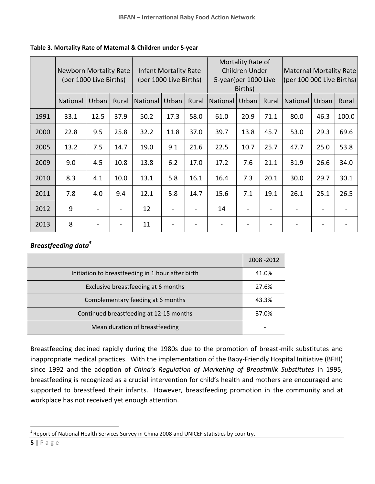| Table 3. Mortality Rate of Maternal & Children under 5-year |
|-------------------------------------------------------------|
|-------------------------------------------------------------|

|      | <b>Newborn Mortality Rate</b><br>(per 1000 Live Births) |       |       | Infant Mortality Rate<br>(per 1000 Live Births) |       |       |          | Mortality Rate of<br>Children Under<br>5-year(per 1000 Live<br>Births) |       | Maternal Mortality Rate<br>$($ per 100 000 Live Births) $ $ |       |       |
|------|---------------------------------------------------------|-------|-------|-------------------------------------------------|-------|-------|----------|------------------------------------------------------------------------|-------|-------------------------------------------------------------|-------|-------|
|      | National                                                | Urban | Rural | National                                        | Urban | Rural | National | Urban                                                                  | Rural | National                                                    | Urban | Rural |
| 1991 | 33.1                                                    | 12.5  | 37.9  | 50.2                                            | 17.3  | 58.0  | 61.0     | 20.9                                                                   | 71.1  | 80.0                                                        | 46.3  | 100.0 |
| 2000 | 22.8                                                    | 9.5   | 25.8  | 32.2                                            | 11.8  | 37.0  | 39.7     | 13.8                                                                   | 45.7  | 53.0                                                        | 29.3  | 69.6  |
| 2005 | 13.2                                                    | 7.5   | 14.7  | 19.0                                            | 9.1   | 21.6  | 22.5     | 10.7                                                                   | 25.7  | 47.7                                                        | 25.0  | 53.8  |
| 2009 | 9.0                                                     | 4.5   | 10.8  | 13.8                                            | 6.2   | 17.0  | 17.2     | 7.6                                                                    | 21.1  | 31.9                                                        | 26.6  | 34.0  |
| 2010 | 8.3                                                     | 4.1   | 10.0  | 13.1                                            | 5.8   | 16.1  | 16.4     | 7.3                                                                    | 20.1  | 30.0                                                        | 29.7  | 30.1  |
| 2011 | 7.8                                                     | 4.0   | 9.4   | 12.1                                            | 5.8   | 14.7  | 15.6     | 7.1                                                                    | 19.1  | 26.1                                                        | 25.1  | 26.5  |
| 2012 | 9                                                       |       |       | 12                                              |       |       | 14       |                                                                        |       |                                                             |       |       |
| 2013 | 8                                                       |       |       | 11                                              |       |       |          |                                                                        |       |                                                             |       |       |

### *Breastfeeding data<sup>5</sup>*

|                                                   | 2008 - 2012 |
|---------------------------------------------------|-------------|
| Initiation to breastfeeding in 1 hour after birth | 41.0%       |
| Exclusive breastfeeding at 6 months               | 27.6%       |
| Complementary feeding at 6 months                 | 43.3%       |
| Continued breastfeeding at 12-15 months           | 37.0%       |
| Mean duration of breastfeeding                    |             |

Breastfeeding declined rapidly during the 1980s due to the promotion of breast-milk substitutes and inappropriate medical practices. With the implementation of the Baby-Friendly Hospital Initiative (BFHI) since 1992 and the adoption of *China's Regulation of Marketing of Breastmilk Substitutes* in 1995, breastfeeding is recognized as a crucial intervention for child's health and mothers are encouraged and supported to breastfeed their infants. However, breastfeeding promotion in the community and at workplace has not received yet enough attention.

 5 Report of National Health Services Survey in China 2008 and UNICEF statistics by country.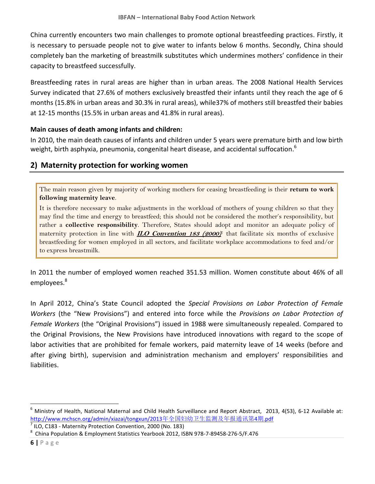China currently encounters two main challenges to promote optional breastfeeding practices. Firstly, it is necessary to persuade people not to give water to infants below 6 months. Secondly, China should completely ban the marketing of breastmilk substitutes which undermines mothers' confidence in their capacity to breastfeed successfully.

Breastfeeding rates in rural areas are higher than in urban areas. The 2008 National Health Services Survey indicated that 27.6% of mothers exclusively breastfed their infants until they reach the age of 6 months (15.8% in urban areas and 30.3% in rural areas), while37% of mothers still breastfed their babies at 12-15 months (15.5% in urban areas and 41.8% in rural areas).

### **Main causes of death among infants and children:**

In 2010, the main death causes of infants and children under 5 years were premature birth and low birth weight, birth asphyxia, [pneumonia,](http://www.iciba.com/pneumonia) [congenital heart disease,](http://www.iciba.com/congenital_heart_disease) and accidental suffocation. $^6$ 

# **2) Maternity protection for working women**

The main reason given by majority of working mothers for ceasing breastfeeding is their **return to work following maternity leave**.

It is therefore necessary to make adjustments in the workload of mothers of young children so that they may find the time and energy to breastfeed; this should not be considered the mother's responsibility, but rather a **collective responsibility**. Therefore, States should adopt and monitor an adequate policy of maternity protection in line with **ILO Convention 183 (2000)** <sup>7</sup> that facilitate six months of exclusive breastfeeding for women employed in all sectors, and facilitate workplace accommodations to feed and/or to express breastmilk.

In 2011 the number of employed women reached 351.53 million. Women constitute about 46% of all employees.<sup>8</sup>

In April 2012, China's State Council adopted the *Special Provisions on Labor Protection of Female Workers* (the "New Provisions") and entered into force while the *Provisions on Labor Protection of Female Workers* (the "Original Provisions") issued in 1988 were simultaneously repealed. Compared to the Original Provisions, the New Provisions have introduced innovations with regard to the scope of labor activities that are prohibited for female workers, paid maternity leave of 14 weeks (before and after giving birth), supervision and administration mechanism and employers' responsibilities and liabilities.

 $\overline{a}$ <sup>6</sup> Ministry of Health, National Maternal and Child Health Surveillance and Report Abstract, 2013, 4(53), 6-12 Available at: [http://www.mchscn.org/admin/xiazai/tongxun/2013](http://www.mchscn.org/admin/xiazai/tongxun/2013年全国妇幼卫生监测及年报通讯第4期.pdf)年全国妇幼卫生监测及年报通讯第4期.pdf

<sup>7</sup> ILO, C183 - Maternity Protection Convention, 2000 (No. 183)

<sup>&</sup>lt;sup>8</sup> China Population & Employment Statistics Yearbook 2012, ISBN 978-7-89458-276-5/F.476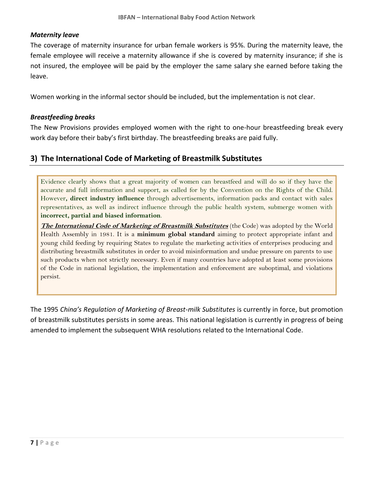### *Maternity leave*

The coverage of maternity insurance for urban female workers is 95%. During the maternity leave, the female employee will receive a maternity allowance if she is covered by maternity insurance; if she is not insured, the employee will be paid by the employer the same salary she earned before taking the leave.

Women working in the informal sector should be included, but the implementation is not clear.

### *Breastfeeding breaks*

The New Provisions provides employed women with the right to one-hour breastfeeding break every work day before their baby's first birthday. The breastfeeding breaks are paid fully.

# **3) The International Code of Marketing of Breastmilk Substitutes**

Evidence clearly shows that a great majority of women can breastfeed and will do so if they have the accurate and full information and support, as called for by the Convention on the Rights of the Child. However**, direct industry influence** through advertisements, information packs and contact with sales representatives, as well as indirect influence through the public health system, submerge women with **incorrect, partial and biased information**.

**The International Code of Marketing of Breastmilk Substitutes** (the Code) was adopted by the World Health Assembly in 1981. It is a **minimum global standard** aiming to protect appropriate infant and young child feeding by requiring States to regulate the marketing activities of enterprises producing and distributing breastmilk substitutes in order to avoid misinformation and undue pressure on parents to use such products when not strictly necessary. Even if many countries have adopted at least some provisions of the Code in national legislation, the implementation and enforcement are suboptimal, and violations persist.

The 1995 *China's Regulation of Marketing of Breast-milk Substitutes* is currently in force, but promotion of breastmilk substitutes persists in some areas. This national legislation is currently in progress of being amended to implement the subsequent WHA resolutions related to the International Code.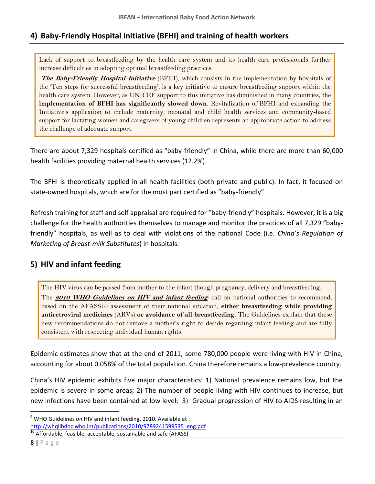# **4) Baby-Friendly Hospital Initiative (BFHI) and training of health workers**

Lack of support to breastfeeding by the health care system and its health care professionals further increase difficulties in adopting optimal breastfeeding practices.

**The Baby-Friendly Hospital Initiative** (BFHI), which consists in the implementation by hospitals of the 'Ten steps for successful breastfeeding', is a key initiative to ensure breastfeeding support within the health care system. However, as UNICEF support to this initiative has diminished in many countries, the **implementation of BFHI has significantly slowed down**. Revitalization of BFHI and expanding the Initiative's application to include maternity, neonatal and child health services and community-based support for lactating women and caregivers of young children represents an appropriate action to address the challenge of adequate support.

There are about 7,329 hospitals certified as "baby-friendly" in China, while there are more than 60,000 health facilities providing maternal health services (12.2%).

The BFHI is theoretically applied in all health facilities (both private and public). In fact, it focused on state-owned hospitals, which are for the most part certified as "baby-friendly".

Refresh training for staff and self appraisal are required for "baby-friendly" hospitals. However, it is a big challenge for the health authorities themselves to manage and monitor the practices of all 7,329 "babyfriendly" hospitals, as well as to deal with violations of the national Code (i.e. *China's Regulation of Marketing of Breast-milk Substitutes*) in hospitals.

# **5) HIV and infant feeding**

The HIV virus can be passed from mother to the infant though pregnancy, delivery and breastfeeding. The **2010 WHO Guidelines on HIV and infant feeding**<sup>0</sup> call on national authorities to recommend, based on the AFASS10 assessment of their national situation, **either breastfeeding while providing antiretroviral medicines** (ARVs) **or avoidance of all breastfeeding**. The Guidelines explain that these new recommendations do not remove a mother's right to decide regarding infant feeding and are fully consistent with respecting individual human rights.

Epidemic estimates show that at the end of 2011, some 780,000 people were living with HIV in China, accounting for about 0.058% of the total population. China therefore remains a low-prevalence country.

China's HIV epidemic exhibits five major characteristics: 1) National prevalence remains low, but the epidemic is severe in some areas; 2) The number of people living with HIV continues to increase, but new infections have been contained at low level; 3) Gradual progression of HIV to AIDS resulting in an

 $9$  WHO Guidelines on HIV and infant feeding, 2010. Available at: [http://whqlibdoc.who.int/publications/2010/9789241599535\\_eng.pdf](http://whqlibdoc.who.int/publications/2010/9789241599535_eng.pdf)

 $10$  Affordable, feasible, acceptable, sustainable and safe (AFASS)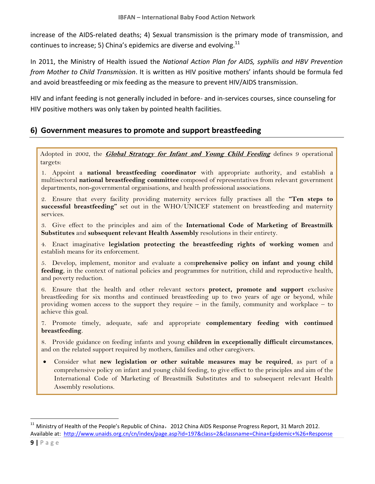increase of the AIDS-related deaths; 4) Sexual transmission is the primary mode of transmission, and continues to increase; 5) China's epidemics are diverse and evolving.<sup>11</sup>

In 2011, the Ministry of Health issued the *National Action Plan for AIDS, syphilis and HBV Prevention from Mother to Child Transmission*. It is written as HIV positive mothers' infants should be formula fed and avoid breastfeeding or mix feeding as the measure to prevent HIV/AIDS transmission.

HIV and infant feeding is not generally included in before- and in-services courses, since counseling for HIV positive mothers was only taken by pointed health facilities.

# **6) Government measures to promote and support breastfeeding**

Adopted in 2002, the **Global Strategy for Infant and Young Child Feeding** defines 9 operational targets:

1. Appoint a **national breastfeeding coordinator** with appropriate authority, and establish a multisectoral **national breastfeeding committee** composed of representatives from relevant government departments, non-governmental organisations, and health professional associations.

2. Ensure that every facility providing maternity services fully practises all the **"Ten steps to successful breastfeeding"** set out in the WHO/UNICEF statement on breastfeeding and maternity services.

3. Give effect to the principles and aim of the **International Code of Marketing of Breastmilk Substitutes** and **subsequent relevant Health Assembly** resolutions in their entirety.

4. Enact imaginative **legislation protecting the breastfeeding rights of working women** and establish means for its enforcement.

5. Develop, implement, monitor and evaluate a com**prehensive policy on infant and young child feeding**, in the context of national policies and programmes for nutrition, child and reproductive health, and poverty reduction.

6. Ensure that the health and other relevant sectors **protect, promote and support** exclusive breastfeeding for six months and continued breastfeeding up to two years of age or beyond, while providing women access to the support they require – in the family, community and workplace – to achieve this goal.

7. Promote timely, adequate, safe and appropriate **complementary feeding with continued breastfeeding**.

8. Provide guidance on feeding infants and young **children in exceptionally difficult circumstances**, and on the related support required by mothers, families and other caregivers.

 Consider what **new legislation or other suitable measures may be required**, as part of a comprehensive policy on infant and young child feeding, to give effect to the principles and aim of the International Code of Marketing of Breastmilk Substitutes and to subsequent relevant Health Assembly resolutions.

<sup>&</sup>lt;sup>11</sup> Ministry of Health of the People's Republic of China, 2012 China AIDS Response Progress Report, 31 March 2012. Available at: <http://www.unaids.org.cn/cn/index/page.asp?id=197&class=2&classname=China+Epidemic+%26+Response>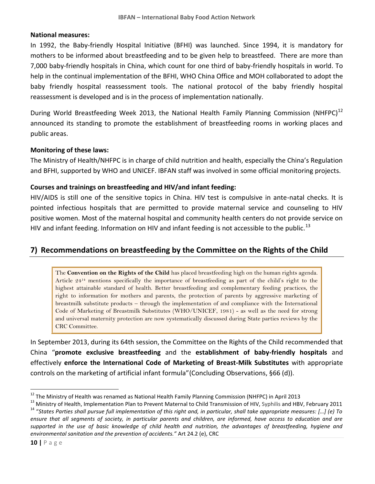#### **National measures:**

In 1992, the Baby-friendly Hospital Initiative (BFHI) was launched. Since 1994, it is mandatory for mothers to be informed about breastfeeding and to be given help to breastfeed. There are more than 7,000 baby-friendly hospitals in China, which count for one third of baby-friendly hospitals in world. To help in the continual implementation of the BFHI, WHO China Office and MOH collaborated to adopt the baby friendly hospital reassessment tools. The national protocol of the baby friendly hospital reassessment is developed and is in the process of implementation nationally.

During World Breastfeeding Week 2013, the National Health Family Planning Commission (NHFPC)<sup>12</sup> announced its standing to promote the establishment of breastfeeding rooms in working places and public areas.

#### **Monitoring of these laws:**

The Ministry of Health/NHFPC is in charge of child nutrition and health, especially the China's Regulation and BFHI, supported by WHO and UNICEF. IBFAN staff was involved in some official monitoring projects.

### **Courses and trainings on breastfeeding and HIV/and infant feeding:**

HIV/AIDS is still one of the sensitive topics in China. HIV test is compulsive in ante-natal checks. It is pointed infectious hospitals that are permitted to provide maternal service and counseling to HIV positive women. Most of the maternal hospital and community health centers do not provide service on HIV and infant feeding. Information on HIV and infant feeding is not accessible to the public.<sup>13</sup>

# **7) Recommendations on breastfeeding by the Committee on the Rights of the Child**

The **Convention on the Rights of the Child** has placed breastfeeding high on the human rights agenda. Article 24<sup>14</sup> mentions specifically the importance of breastfeeding as part of the child's right to the highest attainable standard of health. Better breastfeeding and complementary feeding practices, the right to information for mothers and parents, the protection of parents by aggressive marketing of breastmilk substitute products – through the implementation of and compliance with the International Code of Marketing of Breastmilk Substitutes (WHO/UNICEF, 1981) - as well as the need for strong and universal maternity protection are now systematically discussed during State parties reviews by the CRC Committee.

In September 2013, during its 64th session, the Committee on the Rights of the Child recommended that China "**promote exclusive breastfeeding** and the **establishment of baby-friendly hospitals** and effectively **enforce the International Code of Marketing of Breast-Milk Substitutes** with appropriate controls on the marketing of artificial infant formula"(Concluding Observations, §66 (d)).

<sup>&</sup>lt;sup>12</sup> The Ministry of Health was renamed as National Health Family Planning Commission (NHFPC) in April 2013

<sup>&</sup>lt;sup>13</sup> Ministry of Health, Implementation Plan to Prevent Maternal to Child Transmission of HIV, Syphilis and HBV, February 2011 <sup>14</sup> "*States Parties shall pursue full implementation of this right and, in particular, shall take appropriate measures: […] (e) To ensure that all segments of society, in particular parents and children, are informed, have access to education and are supported in the use of basic knowledge of child health and nutrition, the advantages of breastfeeding, hygiene and environmental sanitation and the prevention of accidents."* Art 24.2 (e), CRC